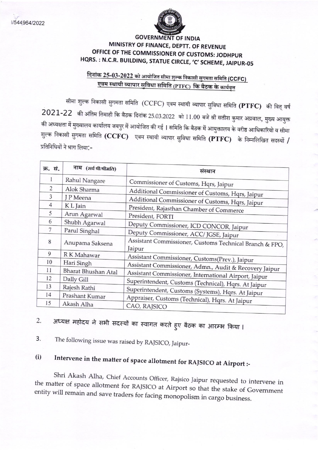

#### **GOVERNMENT OF INDIA** MINISTRY OF FINANCE, DEPTT. OF REVENUE OFFICE OF THE COMMISSIONER OF CUSTOMS: JODHPUR HQRS.: N.C.R. BUILDING, STATUE CIRCLE, 'C' SCHEME, JAIPUR-05

# <u>दिनांक 25-03-2022 को आयोजित सीमा शुल्क निकासी सुगमता समिति (CCFC)</u> <u>एवम स्थायी व्यापार सुविधा समिति (PTFC) कि बैठक के कार्यवृत्त</u>

सीमा शुल्क निकासी सुगमता समिति (CCFC) एवम स्थायी व्यापार सुविधा समिति **(PTFC)** की वित् वर्ष  $2021$ -22 की अंतिम तिमाही कि बैठक दिनांक 25.03.2022 को  $11.00$  बजे श्री सतीश कुमार अग्रवाल, मुख्य आयुक्त की अध्यक्षता में मुख्यालय कार्यालय जयपुर में आयोजित की गई । समिति कि बैठक में आयुक्तालय के वरीष्ठ आधिकारियो व सीमा शुल्क निकासी सुगमता समिति ( $\bf C CFC$ ) एवम स्थायी व्यापार सुविधा समिति ( $\bf P TFC$ ) के निम्नलिखित सदस्यों / प्रतिनिधियों ने भाग लिया:-

| क्र. सं.       | नाम (सर्वश्री/श्रीमति) | संस्थान                                                                                                     |
|----------------|------------------------|-------------------------------------------------------------------------------------------------------------|
| 1              | Rahul Nangare          | Commissioner of Customs, Hqrs, Jaipur                                                                       |
| $\overline{2}$ | Alok Sharma            | Additional Commissioner of Customs, Hqrs, Jaipur                                                            |
| 3              | J P Meena              |                                                                                                             |
| 4              | K L Jain               | Additional Commissioner of Customs, Hqrs, Jaipur                                                            |
| 5              | Arun Agarwal           | President, Rajasthan Chamber of Commerce<br>President, FORTI                                                |
| 6              | Shubh Agarwal          |                                                                                                             |
| 7              | Parul Singhal          | Deputy Commissioner, ICD CONCOR, Jaipur                                                                     |
| 8              | Anupama Saksena        | Deputy Commissioner, ACC/ JGSE, Jaipur<br>Assistant Commissioner, Customs Technical Branch & FPO,<br>Jaipur |
| 9              | R K Mahawar            | Assistant Commissioner, Customs(Prev.), Jaipur                                                              |
| 10             | Hari Singh             | Assistant Commissioner, Admn., Audit & Recovery Jaipur                                                      |
| 11             | Bharat Bhushan Atal    |                                                                                                             |
| 12             | Dally Gill             | Assistant Commissioner, International Airport, Jaipur                                                       |
| 13             | Rajesh Rathi           | Superintendent, Customs (Technical), Hqrs. At Jaipur                                                        |
| 14             | Prashant Kumar         | Superintendent, Customs (Systems), Hqrs. At Jaipur                                                          |
| 15             | Akash Alha             | Appraiser, Customs (Technical), Hqrs. At Jaipur<br>CAO, RAJSICO                                             |

# अध्यक्ष महोदय ने सभी सदस्यों का स्वागत करते हुए बैठक का आरम्भ किया । 2.

3. The following issue was raised by RAJSICO, Jaipur-

### Intervene in the matter of space allotment for RAJSICO at Airport :- $(i)$

Shri Akash Alha, Chief Accounts Officer, Rajsico Jaipur requested to intervene in the matter of space allotment for RAJSICO at Airport so that the stake of Government entity will remain and save traders for facing monopolism in cargo business.